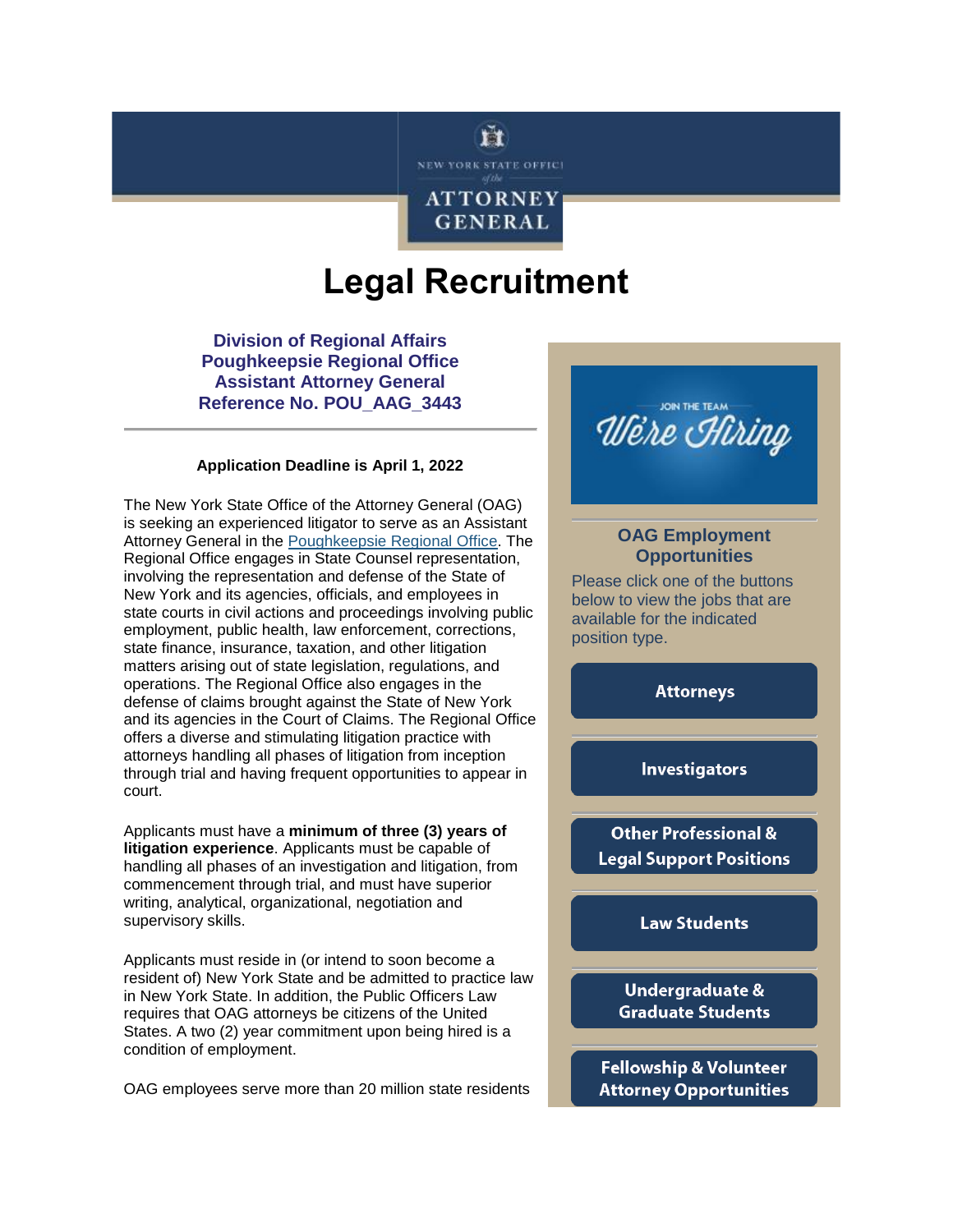# **Legal Recruitment**

Ħ NEW YORK STATE OFFICE

**ATTORNEY GENERAL** 

**Division of Regional Affairs Poughkeepsie Regional Office Assistant Attorney General Reference No. POU\_AAG\_3443**

#### **Application Deadline is April 1, 2022**

The New York State Office of the Attorney General (OAG) is seeking an experienced litigator to serve as an Assistant Attorney General in the [Poughkeepsie Regional Office.](https://lnks.gd/l/eyJhbGciOiJIUzI1NiJ9.eyJidWxsZXRpbl9saW5rX2lkIjoxMDAsInVyaSI6ImJwMjpjbGljayIsImJ1bGxldGluX2lkIjoiMjAyMjAzMDcuNTQ1MzQ4NDEiLCJ1cmwiOiJodHRwczovL2FnLm55Lmdvdi9yZWdpb25hbC1vZmZpY2UtY29udGFjdC1pbmZvcm1hdGlvbiNQb3VnaGtlZXBzaWUifQ.H_TVvjBs20SuLWYq0aVTuUfMCZZ0hmBIvuA6r383wpc/s/679883235/br/127662358989-l) The Regional Office engages in State Counsel representation, involving the representation and defense of the State of New York and its agencies, officials, and employees in state courts in civil actions and proceedings involving public employment, public health, law enforcement, corrections, state finance, insurance, taxation, and other litigation matters arising out of state legislation, regulations, and operations. The Regional Office also engages in the defense of claims brought against the State of New York and its agencies in the Court of Claims. The Regional Office offers a diverse and stimulating litigation practice with attorneys handling all phases of litigation from inception through trial and having frequent opportunities to appear in court.

Applicants must have a **minimum of three (3) years of litigation experience**. Applicants must be capable of handling all phases of an investigation and litigation, from commencement through trial, and must have superior writing, analytical, organizational, negotiation and supervisory skills.

Applicants must reside in (or intend to soon become a resident of) New York State and be admitted to practice law in New York State. In addition, the Public Officers Law requires that OAG attorneys be citizens of the United States. A two (2) year commitment upon being hired is a condition of employment.

OAG employees serve more than 20 million state residents



# **OAG Employment Opportunities**

Please click one of the buttons below to view the jobs that are available for the indicated position type.

#### **Attorneys**

**Investigators** 

**Other Professional & Legal Support Positions** 

**Law Students** 

Undergraduate & **Graduate Students** 

**Fellowship & Volunteer Attorney Opportunities**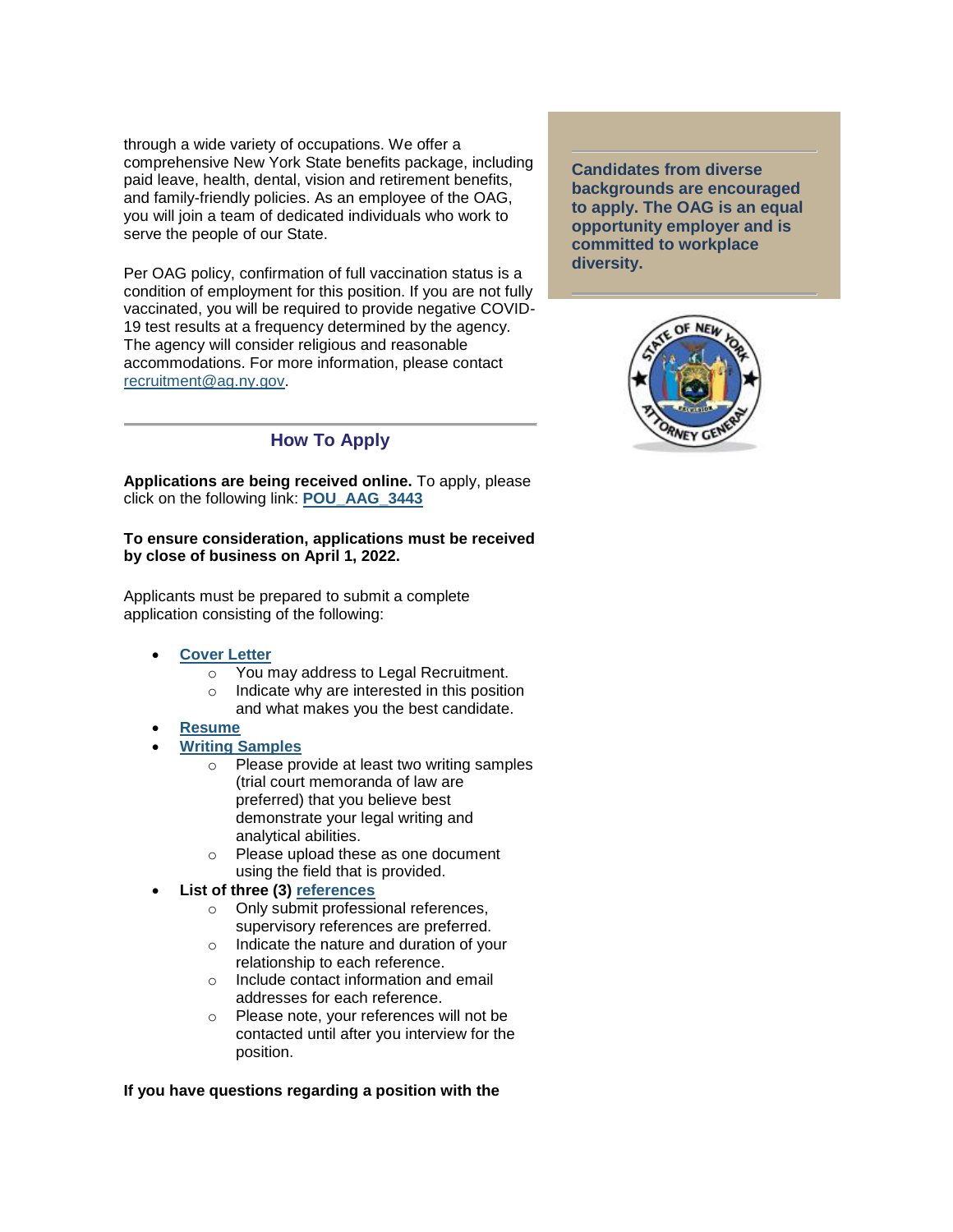through a wide variety of occupations. We offer a comprehensive New York State benefits package, including paid leave, health, dental, vision and retirement benefits, and family-friendly policies. As an employee of the OAG, you will join a team of dedicated individuals who work to serve the people of our State.

Per OAG policy, confirmation of full vaccination status is a condition of employment for this position. If you are not fully vaccinated, you will be required to provide negative COVID-19 test results at a frequency determined by the agency. The agency will consider religious and reasonable accommodations. For more information, please contact [recruitment@ag.ny.gov.](mailto:Recruitment@ag.ny.gov)

**How To Apply**

**Applications are being received online.** To apply, please click on the following link: **[POU\\_AAG\\_3443](https://lnks.gd/l/eyJhbGciOiJIUzI1NiJ9.eyJidWxsZXRpbl9saW5rX2lkIjoxMDEsInVyaSI6ImJwMjpjbGljayIsImJ1bGxldGluX2lkIjoiMjAyMjAzMDcuNTQ1MzQ4NDEiLCJ1cmwiOiJodHRwczovL2xnci5hZy5ueS5nb3Yvb3Jkcy9mP3A9MTM2OjEwOjo6OjpQMTBfTEdSX0pPQl9JRCxQMTBfUE9TSVRJT05UWVBFLFAxMF9MR1JfV1JJVElOR19TQU1QTEVfSU5EOjQxMjIsNyxZIn0.sdvkqmGtOkPnBnZ4wdN0sZPINuQx5VCe-VWV216t9Ps/s/679883235/br/127662358989-l)**

#### **To ensure consideration, applications must be received by close of business on April 1, 2022.**

Applicants must be prepared to submit a complete application consisting of the following:

- **[Cover Letter](https://lnks.gd/l/eyJhbGciOiJIUzI1NiJ9.eyJidWxsZXRpbl9saW5rX2lkIjoxMDIsInVyaSI6ImJwMjpjbGljayIsImJ1bGxldGluX2lkIjoiMjAyMjAzMDcuNTQ1MzQ4NDEiLCJ1cmwiOiJodHRwOi8vYWcubnkuZ292L2xlZ2FsLXJlY3J1aXRtZW50L2RvY3VtZW50LXJlcXVpcmVtZW50LWV4ZW1wdC1hcHBsaWNhdGlvbnMifQ.FbeCEe3FefBzGQd_QXEqL1PR83MKW3wo8dqr0SOevtI/s/679883235/br/127662358989-l)**
	- o You may address to Legal Recruitment.
	- o Indicate why are interested in this position and what makes you the best candidate.

# **[Resume](https://lnks.gd/l/eyJhbGciOiJIUzI1NiJ9.eyJidWxsZXRpbl9saW5rX2lkIjoxMDMsInVyaSI6ImJwMjpjbGljayIsImJ1bGxldGluX2lkIjoiMjAyMjAzMDcuNTQ1MzQ4NDEiLCJ1cmwiOiJodHRwOi8vYWcubnkuZ292L2xlZ2FsLXJlY3J1aXRtZW50L2RvY3VtZW50LXJlcXVpcmVtZW50LWV4ZW1wdC1hcHBsaWNhdGlvbnMifQ.wh-EtycVTAO8l0P1l--DVje1O-qRg0Uja_pEQoum9Ms/s/679883235/br/127662358989-l)**

- **[Writing Samples](https://lnks.gd/l/eyJhbGciOiJIUzI1NiJ9.eyJidWxsZXRpbl9saW5rX2lkIjoxMDQsInVyaSI6ImJwMjpjbGljayIsImJ1bGxldGluX2lkIjoiMjAyMjAzMDcuNTQ1MzQ4NDEiLCJ1cmwiOiJodHRwOi8vYWcubnkuZ292L2xlZ2FsLXJlY3J1aXRtZW50L2RvY3VtZW50LXJlcXVpcmVtZW50LWV4ZW1wdC1hcHBsaWNhdGlvbnMifQ.RNe2hpBiIqAMSMfDZQocbB0v1YqLEU-WebT-2hi9u4Q/s/679883235/br/127662358989-l)**
	- o Please provide at least two writing samples (trial court memoranda of law are preferred) that you believe best demonstrate your legal writing and analytical abilities.
	- o Please upload these as one document using the field that is provided.
- **List of three (3) [references](https://lnks.gd/l/eyJhbGciOiJIUzI1NiJ9.eyJidWxsZXRpbl9saW5rX2lkIjoxMDUsInVyaSI6ImJwMjpjbGljayIsImJ1bGxldGluX2lkIjoiMjAyMjAzMDcuNTQ1MzQ4NDEiLCJ1cmwiOiJodHRwczovL2FnLm55Lmdvdi9sZWdhbC1yZWNydWl0bWVudC9kb2N1bWVudC1yZXF1aXJlbWVudC1leGVtcHQtYXBwbGljYXRpb25zIn0.lXHSjv4OsGtD9el5eoNc1YAKEhZDB_vQWwiej9ahuNU/s/679883235/br/127662358989-l)** 
	- o Only submit professional references, supervisory references are preferred.
	- o Indicate the nature and duration of your relationship to each reference.
	- o Include contact information and email addresses for each reference.
	- o Please note, your references will not be contacted until after you interview for the position.

### **If you have questions regarding a position with the**

**Candidates from diverse backgrounds are encouraged to apply. The OAG is an equal opportunity employer and is committed to workplace diversity.**